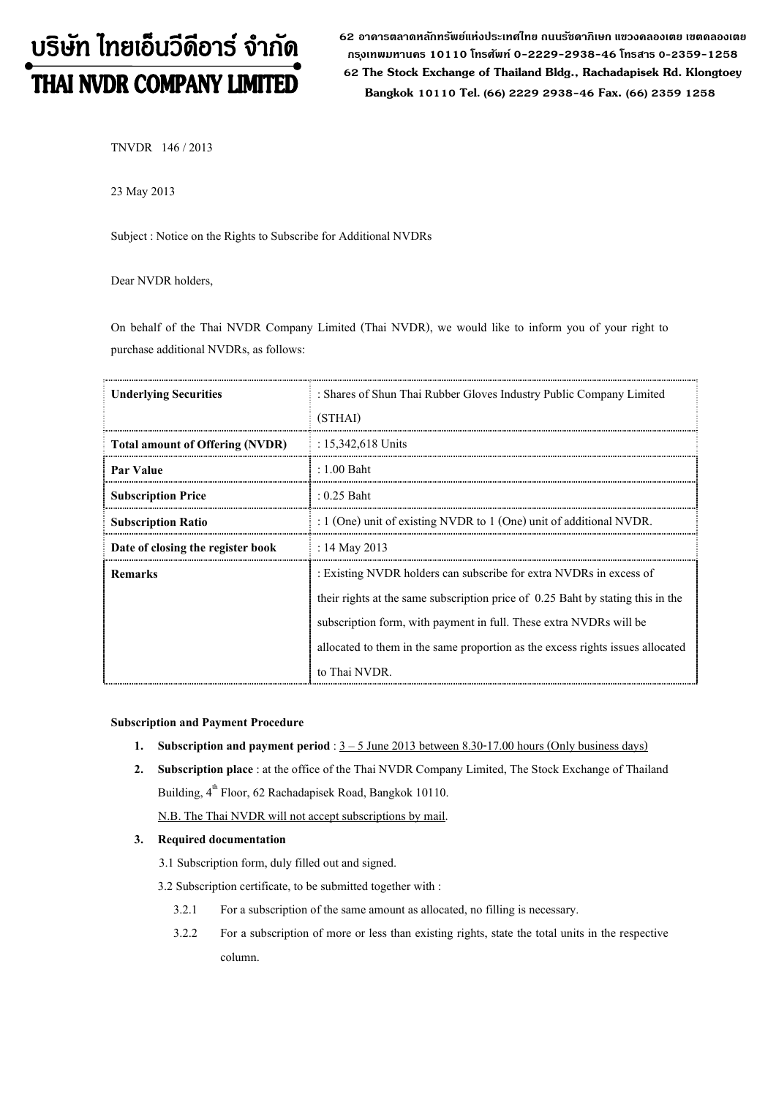# บริษัท ไทยเอ็นวีดีอาร์ จำกัด THAI NVDR COMPANY LIMITED

**62 อาคารตลาดหลักทรัพย์แห่งประเทศไทย ถนนรัชดาภิเษก แขวงคลองเตย เขตคลองเตย กร ุงเทพมหานคร 10110 โทรศัพท์ 0-2229-2938-46 โทรสาร 0-2359-1258 62 The Stock Exchange of Thailand Bldg., Rachadapisek Rd. Klongtoey Bangkok <sup>10110</sup> Tel. (66) 2229 2938-46 Fax. (66) 2359 1258**

TNVDR 146 / 2013

23 May 2013

Subject : Notice on the Rights to Subscribe for Additional NVDRs

Dear NVDR holders,

On behalf of the Thai NVDR Company Limited (Thai NVDR), we would like to inform you of your right to purchase additional NVDRs, as follows:

| <b>Underlying Securities</b>           | : Shares of Shun Thai Rubber Gloves Industry Public Company Limited<br>(STHAI)                                                                        |  |  |  |
|----------------------------------------|-------------------------------------------------------------------------------------------------------------------------------------------------------|--|--|--|
| <b>Total amount of Offering (NVDR)</b> | : $15,342,618$ Units                                                                                                                                  |  |  |  |
| <b>Par Value</b>                       | $: 1.00$ Baht                                                                                                                                         |  |  |  |
| <b>Subscription Price</b>              | $: 0.25$ Baht                                                                                                                                         |  |  |  |
| <b>Subscription Ratio</b>              | : $1$ (One) unit of existing NVDR to $1$ (One) unit of additional NVDR.                                                                               |  |  |  |
| Date of closing the register book      | : 14 May 2013                                                                                                                                         |  |  |  |
| <b>Remarks</b>                         | : Existing NVDR holders can subscribe for extra NVDRs in excess of<br>their rights at the same subscription price of 0.25 Baht by stating this in the |  |  |  |
|                                        | subscription form, with payment in full. These extra NVDRs will be                                                                                    |  |  |  |
|                                        | allocated to them in the same proportion as the excess rights issues allocated                                                                        |  |  |  |
|                                        | to Thai NVDR.                                                                                                                                         |  |  |  |

## **Subscription and Payment Procedure**

- **1.** Subscription and payment period :  $3 5$  June 2013 between 8.30-17.00 hours (Only business days)
- **2. Subscription place** : at the office of the Thai NVDR Company Limited, The Stock Exchange of Thailand Building,  $4^{\text{th}}$  Floor, 62 Rachadapisek Road, Bangkok 10110. N.B. The Thai NVDR will not accept subscriptions by mail.

## **3. Required documentation**

- 3.1 Subscription form, duly filled out and signed.
- 3.2 Subscription certificate, to be submitted together with :
	- 3.2.1 For a subscription of the same amount as allocated, no filling is necessary.
	- 3.2.2 For a subscription of more or less than existing rights, state the total units in the respective column.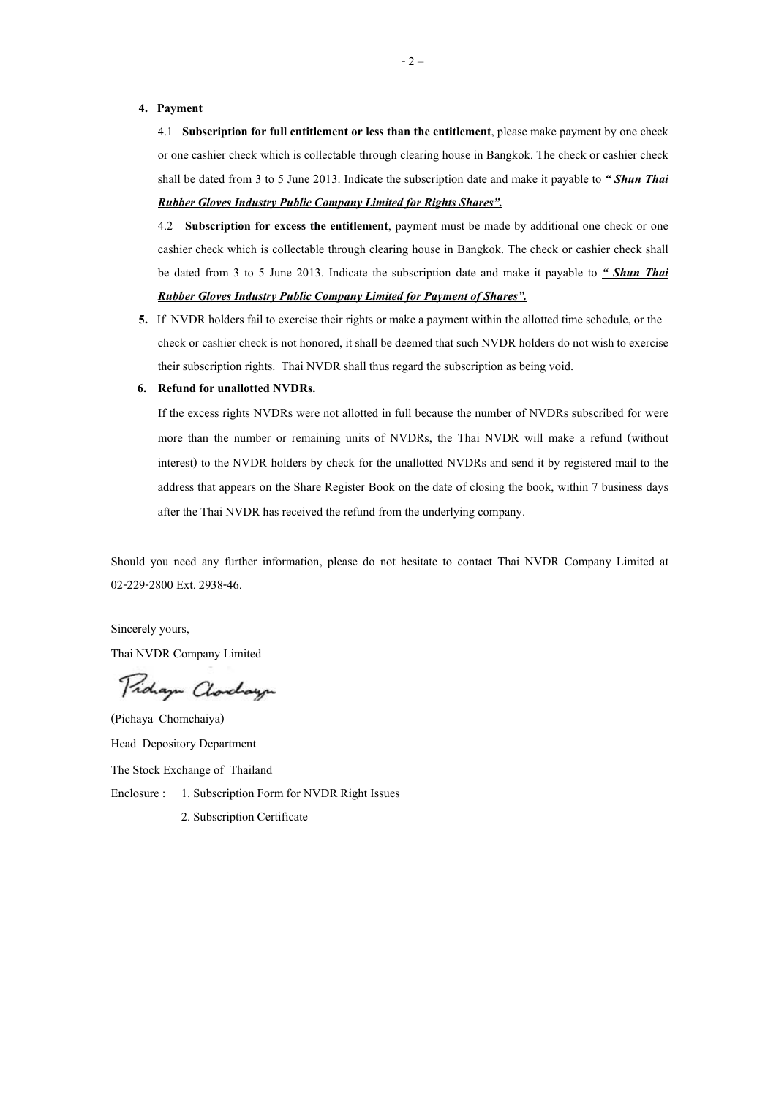#### **4. Payment**

4.1 **Subscription for full entitlement or less than the entitlement**, please make payment by one check or one cashier check which is collectable through clearing house in Bangkok. The check or cashier check shall be dated from 3 to 5 June 2013. Indicate the subscription date and make it payable to *" Shun Thai Rubber Gloves Industry Public Company Limited for Rights Shares".*

4.2 **Subscription for excess the entitlement**, payment must be made by additional one check or one cashier check which is collectable through clearing house in Bangkok. The check or cashier check shall be dated from 3 to 5 June 2013. Indicate the subscription date and make it payable to *" Shun Thai Rubber Gloves Industry Public Company Limited for Payment of Shares".*

**5.** If NVDR holders fail to exercise their rights or make a payment within the allotted time schedule, or the check or cashier check is not honored, it shall be deemed that such NVDR holders do not wish to exercise their subscription rights. Thai NVDR shall thus regard the subscription as being void.

#### **6. Refund for unallotted NVDRs.**

If the excess rights NVDRs were not allotted in full because the number of NVDRs subscribed for were more than the number or remaining units of NVDRs, the Thai NVDR will make a refund (without interest) to the NVDR holders by check for the unallotted NVDRs and send it by registered mail to the address that appears on the Share Register Book on the date of closing the book, within 7 business days after the Thai NVDR has received the refund from the underlying company.

Should you need any further information, please do not hesitate to contact Thai NVDR Company Limited at 02-229-2800 Ext. 2938-46.

Sincerely yours,

Thai NVDR Company Limited

Pridaya Clarchaya

(Pichaya Chomchaiya) Head Depository Department The Stock Exchange of Thailand Enclosure : 1. Subscription Form for NVDR Right Issues 2. Subscription Certificate